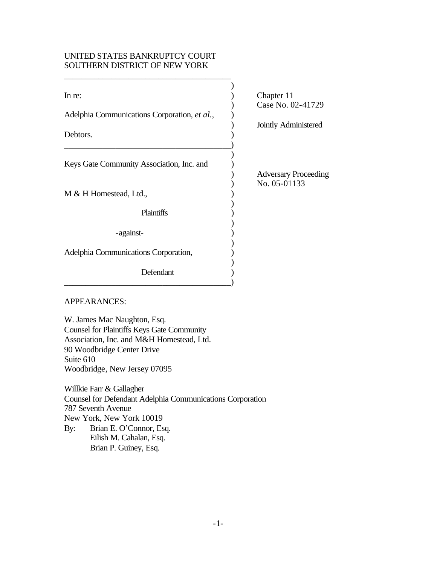# UNITED STATES BANKRUPTCY COURT SOUTHERN DISTRICT OF NEW YORK

| In re:                                       | Chapter 11                  |
|----------------------------------------------|-----------------------------|
| Adelphia Communications Corporation, et al., | Case No. 02-41729           |
| Debtors.                                     | Jointly Administered        |
|                                              |                             |
| Keys Gate Community Association, Inc. and    | <b>Adversary Proceeding</b> |
| M & H Homestead, Ltd.,                       | No. 05-01133                |
| Plaintiffs                                   |                             |
| -against-                                    |                             |
| Adelphia Communications Corporation,         |                             |
| Defendant                                    |                             |
|                                              |                             |

# APPEARANCES:

W. James Mac Naughton, Esq. Counsel for Plaintiffs Keys Gate Community Association, Inc. and M&H Homestead, Ltd. 90 Woodbridge Center Drive Suite 610 Woodbridge, New Jersey 07095

Willkie Farr & Gallagher Counsel for Defendant Adelphia Communications Corporation 787 Seventh Avenue New York, New York 10019 By: Brian E. O'Connor, Esq. Eilish M. Cahalan, Esq. Brian P. Guiney, Esq.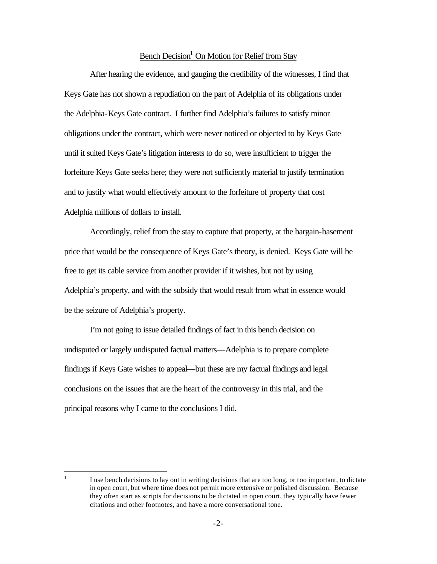# Bench Decision<sup>1</sup> On Motion for Relief from Stay

After hearing the evidence, and gauging the credibility of the witnesses, I find that Keys Gate has not shown a repudiation on the part of Adelphia of its obligations under the Adelphia-Keys Gate contract. I further find Adelphia's failures to satisfy minor obligations under the contract, which were never noticed or objected to by Keys Gate until it suited Keys Gate's litigation interests to do so, were insufficient to trigger the forfeiture Keys Gate seeks here; they were not sufficiently material to justify termination and to justify what would effectively amount to the forfeiture of property that cost Adelphia millions of dollars to install.

Accordingly, relief from the stay to capture that property, at the bargain-basement price that would be the consequence of Keys Gate's theory, is denied. Keys Gate will be free to get its cable service from another provider if it wishes, but not by using Adelphia's property, and with the subsidy that would result from what in essence would be the seizure of Adelphia's property.

I'm not going to issue detailed findings of fact in this bench decision on undisputed or largely undisputed factual matters—Adelphia is to prepare complete findings if Keys Gate wishes to appeal—but these are my factual findings and legal conclusions on the issues that are the heart of the controversy in this trial, and the principal reasons why I came to the conclusions I did.

 $\frac{1}{1}$ 

I use bench decisions to lay out in writing decisions that are too long, or too important, to dictate in open court, but where time does not permit more extensive or polished discussion. Because they often start as scripts for decisions to be dictated in open court, they typically have fewer citations and other footnotes, and have a more conversational tone.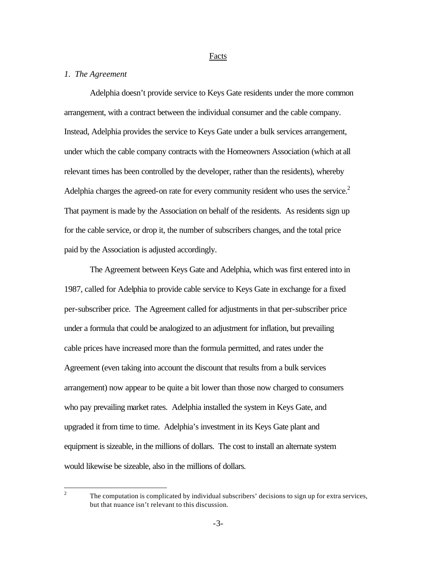#### Facts

## *1. The Agreement*

Adelphia doesn't provide service to Keys Gate residents under the more common arrangement, with a contract between the individual consumer and the cable company. Instead, Adelphia provides the service to Keys Gate under a bulk services arrangement, under which the cable company contracts with the Homeowners Association (which at all relevant times has been controlled by the developer, rather than the residents), whereby Adelphia charges the agreed-on rate for every community resident who uses the service. $2$ That payment is made by the Association on behalf of the residents. As residents sign up for the cable service, or drop it, the number of subscribers changes, and the total price paid by the Association is adjusted accordingly.

The Agreement between Keys Gate and Adelphia, which was first entered into in 1987, called for Adelphia to provide cable service to Keys Gate in exchange for a fixed per-subscriber price. The Agreement called for adjustments in that per-subscriber price under a formula that could be analogized to an adjustment for inflation, but prevailing cable prices have increased more than the formula permitted, and rates under the Agreement (even taking into account the discount that results from a bulk services arrangement) now appear to be quite a bit lower than those now charged to consumers who pay prevailing market rates. Adelphia installed the system in Keys Gate, and upgraded it from time to time. Adelphia's investment in its Keys Gate plant and equipment is sizeable, in the millions of dollars. The cost to install an alternate system would likewise be sizeable, also in the millions of dollars.

 $\frac{1}{2}$ 

The computation is complicated by individual subscribers' decisions to sign up for extra services, but that nuance isn't relevant to this discussion.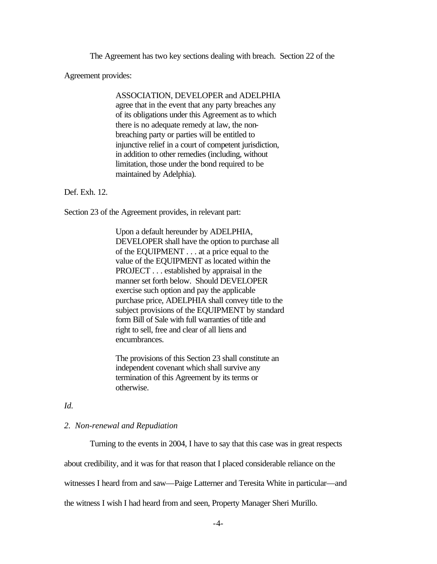The Agreement has two key sections dealing with breach. Section 22 of the

Agreement provides:

ASSOCIATION, DEVELOPER and ADELPHIA agree that in the event that any party breaches any of its obligations under this Agreement as to which there is no adequate remedy at law, the nonbreaching party or parties will be entitled to injunctive relief in a court of competent jurisdiction, in addition to other remedies (including, without limitation, those under the bond required to be maintained by Adelphia).

Def. Exh. 12.

Section 23 of the Agreement provides, in relevant part:

Upon a default hereunder by ADELPHIA, DEVELOPER shall have the option to purchase all of the EQUIPMENT . . . at a price equal to the value of the EQUIPMENT as located within the PROJECT . . . established by appraisal in the manner set forth below. Should DEVELOPER exercise such option and pay the applicable purchase price, ADELPHIA shall convey title to the subject provisions of the EQUIPMENT by standard form Bill of Sale with full warranties of title and right to sell, free and clear of all liens and encumbrances.

The provisions of this Section 23 shall constitute an independent covenant which shall survive any termination of this Agreement by its terms or otherwise.

*Id.* 

#### *2. Non-renewal and Repudiation*

Turning to the events in 2004, I have to say that this case was in great respects

about credibility, and it was for that reason that I placed considerable reliance on the

witnesses I heard from and saw—Paige Latterner and Teresita White in particular—and

the witness I wish I had heard from and seen, Property Manager Sheri Murillo.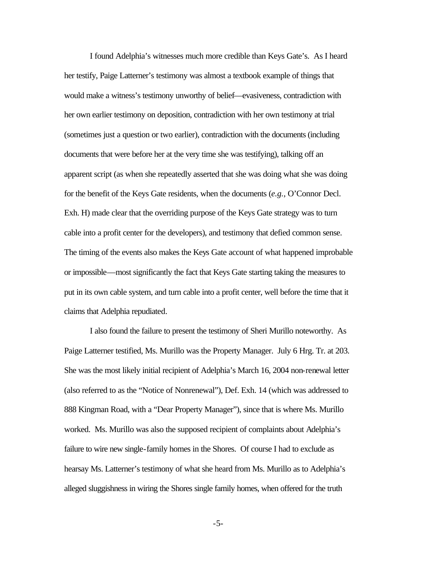I found Adelphia's witnesses much more credible than Keys Gate's. As I heard her testify, Paige Latterner's testimony was almost a textbook example of things that would make a witness's testimony unworthy of belief—evasiveness, contradiction with her own earlier testimony on deposition, contradiction with her own testimony at trial (sometimes just a question or two earlier), contradiction with the documents (including documents that were before her at the very time she was testifying), talking off an apparent script (as when she repeatedly asserted that she was doing what she was doing for the benefit of the Keys Gate residents, when the documents (*e.g.*, O'Connor Decl. Exh. H) made clear that the overriding purpose of the Keys Gate strategy was to turn cable into a profit center for the developers), and testimony that defied common sense. The timing of the events also makes the Keys Gate account of what happened improbable or impossible—most significantly the fact that Keys Gate starting taking the measures to put in its own cable system, and turn cable into a profit center, well before the time that it claims that Adelphia repudiated.

I also found the failure to present the testimony of Sheri Murillo noteworthy. As Paige Latterner testified, Ms. Murillo was the Property Manager. July 6 Hrg. Tr. at 203. She was the most likely initial recipient of Adelphia's March 16, 2004 non-renewal letter (also referred to as the "Notice of Nonrenewal"), Def. Exh. 14 (which was addressed to 888 Kingman Road, with a "Dear Property Manager"), since that is where Ms. Murillo worked. Ms. Murillo was also the supposed recipient of complaints about Adelphia's failure to wire new single-family homes in the Shores. Of course I had to exclude as hearsay Ms. Latterner's testimony of what she heard from Ms. Murillo as to Adelphia's alleged sluggishness in wiring the Shores single family homes, when offered for the truth

-5-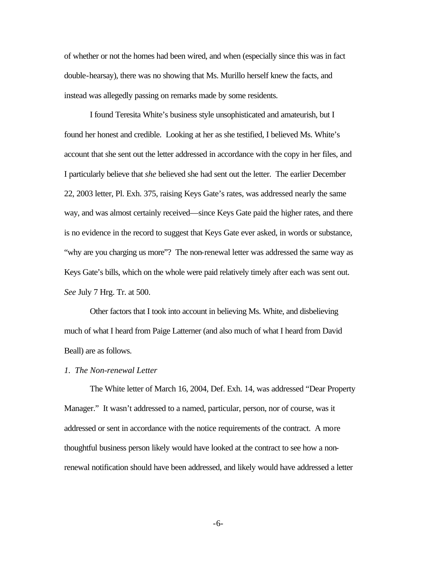of whether or not the homes had been wired, and when (especially since this was in fact double-hearsay), there was no showing that Ms. Murillo herself knew the facts, and instead was allegedly passing on remarks made by some residents.

I found Teresita White's business style unsophisticated and amateurish, but I found her honest and credible. Looking at her as she testified, I believed Ms. White's account that she sent out the letter addressed in accordance with the copy in her files, and I particularly believe that *she* believed she had sent out the letter. The earlier December 22, 2003 letter, Pl. Exh. 375, raising Keys Gate's rates, was addressed nearly the same way, and was almost certainly received—since Keys Gate paid the higher rates, and there is no evidence in the record to suggest that Keys Gate ever asked, in words or substance, "why are you charging us more"? The non-renewal letter was addressed the same way as Keys Gate's bills, which on the whole were paid relatively timely after each was sent out. *See* July 7 Hrg. Tr. at 500.

Other factors that I took into account in believing Ms. White, and disbelieving much of what I heard from Paige Latterner (and also much of what I heard from David Beall) are as follows.

#### *1. The Non-renewal Letter*

The White letter of March 16, 2004, Def. Exh. 14, was addressed "Dear Property Manager." It wasn't addressed to a named, particular, person, nor of course, was it addressed or sent in accordance with the notice requirements of the contract. A more thoughtful business person likely would have looked at the contract to see how a nonrenewal notification should have been addressed, and likely would have addressed a letter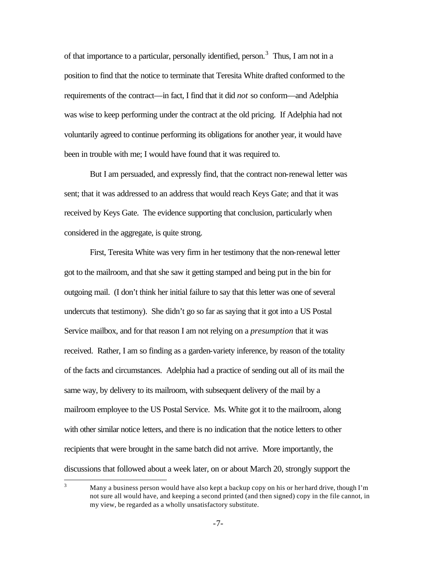of that importance to a particular, personally identified, person.<sup>3</sup> Thus, I am not in a position to find that the notice to terminate that Teresita White drafted conformed to the requirements of the contract—in fact, I find that it did *not* so conform—and Adelphia was wise to keep performing under the contract at the old pricing. If Adelphia had not voluntarily agreed to continue performing its obligations for another year, it would have been in trouble with me; I would have found that it was required to.

But I am persuaded, and expressly find, that the contract non-renewal letter was sent; that it was addressed to an address that would reach Keys Gate; and that it was received by Keys Gate. The evidence supporting that conclusion, particularly when considered in the aggregate, is quite strong.

First, Teresita White was very firm in her testimony that the non-renewal letter got to the mailroom, and that she saw it getting stamped and being put in the bin for outgoing mail. (I don't think her initial failure to say that this letter was one of several undercuts that testimony). She didn't go so far as saying that it got into a US Postal Service mailbox, and for that reason I am not relying on a *presumption* that it was received. Rather, I am so finding as a garden-variety inference, by reason of the totality of the facts and circumstances. Adelphia had a practice of sending out all of its mail the same way, by delivery to its mailroom, with subsequent delivery of the mail by a mailroom employee to the US Postal Service. Ms. White got it to the mailroom, along with other similar notice letters, and there is no indication that the notice letters to other recipients that were brought in the same batch did not arrive. More importantly, the discussions that followed about a week later, on or about March 20, strongly support the

 $\overline{3}$ Many a business person would have also kept a backup copy on his or her hard drive, though I'm not sure all would have, and keeping a second printed (and then signed) copy in the file cannot, in my view, be regarded as a wholly unsatisfactory substitute.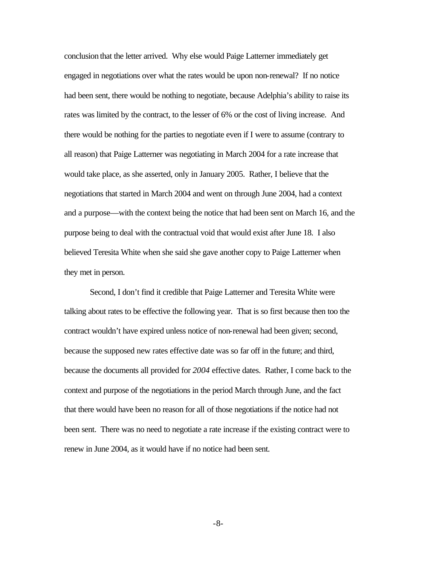conclusion that the letter arrived. Why else would Paige Latterner immediately get engaged in negotiations over what the rates would be upon non-renewal? If no notice had been sent, there would be nothing to negotiate, because Adelphia's ability to raise its rates was limited by the contract, to the lesser of 6% or the cost of living increase. And there would be nothing for the parties to negotiate even if I were to assume (contrary to all reason) that Paige Latterner was negotiating in March 2004 for a rate increase that would take place, as she asserted, only in January 2005. Rather, I believe that the negotiations that started in March 2004 and went on through June 2004, had a context and a purpose—with the context being the notice that had been sent on March 16, and the purpose being to deal with the contractual void that would exist after June 18. I also believed Teresita White when she said she gave another copy to Paige Latterner when they met in person.

Second, I don't find it credible that Paige Latterner and Teresita White were talking about rates to be effective the following year. That is so first because then too the contract wouldn't have expired unless notice of non-renewal had been given; second, because the supposed new rates effective date was so far off in the future; and third, because the documents all provided for *2004* effective dates. Rather, I come back to the context and purpose of the negotiations in the period March through June, and the fact that there would have been no reason for all of those negotiations if the notice had not been sent. There was no need to negotiate a rate increase if the existing contract were to renew in June 2004, as it would have if no notice had been sent.

-8-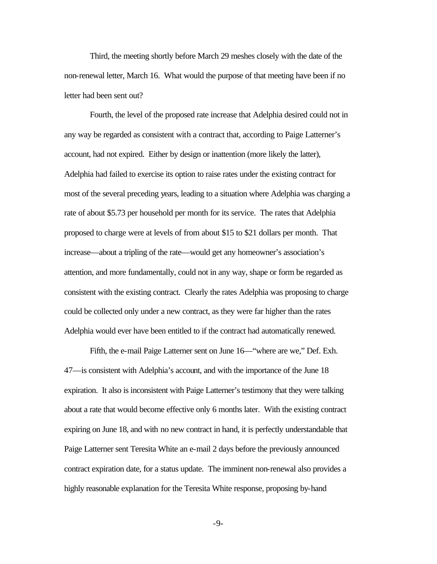Third, the meeting shortly before March 29 meshes closely with the date of the non-renewal letter, March 16. What would the purpose of that meeting have been if no letter had been sent out?

Fourth, the level of the proposed rate increase that Adelphia desired could not in any way be regarded as consistent with a contract that, according to Paige Latterner's account, had not expired. Either by design or inattention (more likely the latter), Adelphia had failed to exercise its option to raise rates under the existing contract for most of the several preceding years, leading to a situation where Adelphia was charging a rate of about \$5.73 per household per month for its service. The rates that Adelphia proposed to charge were at levels of from about \$15 to \$21 dollars per month. That increase—about a tripling of the rate—would get any homeowner's association's attention, and more fundamentally, could not in any way, shape or form be regarded as consistent with the existing contract. Clearly the rates Adelphia was proposing to charge could be collected only under a new contract, as they were far higher than the rates Adelphia would ever have been entitled to if the contract had automatically renewed.

Fifth, the e-mail Paige Latterner sent on June 16—"where are we," Def. Exh. 47—is consistent with Adelphia's account, and with the importance of the June 18 expiration. It also is inconsistent with Paige Latterner's testimony that they were talking about a rate that would become effective only 6 months later. With the existing contract expiring on June 18, and with no new contract in hand, it is perfectly understandable that Paige Latterner sent Teresita White an e-mail 2 days before the previously announced contract expiration date, for a status update. The imminent non-renewal also provides a highly reasonable explanation for the Teresita White response, proposing by-hand

-9-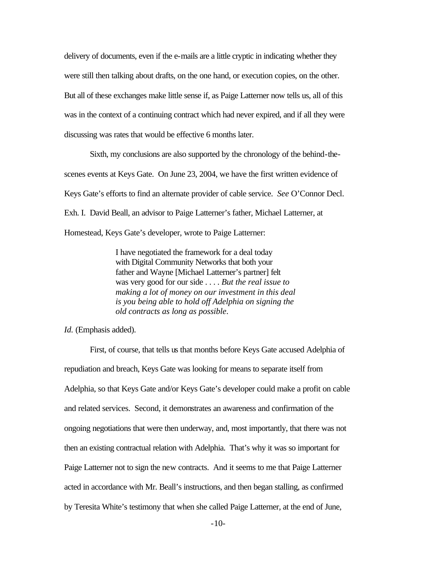delivery of documents, even if the e-mails are a little cryptic in indicating whether they were still then talking about drafts, on the one hand, or execution copies, on the other. But all of these exchanges make little sense if, as Paige Latterner now tells us, all of this was in the context of a continuing contract which had never expired, and if all they were discussing was rates that would be effective 6 months later.

Sixth, my conclusions are also supported by the chronology of the behind-thescenes events at Keys Gate. On June 23, 2004, we have the first written evidence of Keys Gate's efforts to find an alternate provider of cable service. *See* O'Connor Decl. Exh. I. David Beall, an advisor to Paige Latterner's father, Michael Latterner, at Homestead, Keys Gate's developer, wrote to Paige Latterner:

> I have negotiated the framework for a deal today with Digital Community Networks that both your father and Wayne [Michael Latterner's partner] felt was very good for our side . . . . *But the real issue to making a lot of money on our investment in this deal is you being able to hold off Adelphia on signing the old contracts as long as possible*.

*Id.* (Emphasis added).

First, of course, that tells us that months before Keys Gate accused Adelphia of repudiation and breach, Keys Gate was looking for means to separate itself from Adelphia, so that Keys Gate and/or Keys Gate's developer could make a profit on cable and related services. Second, it demonstrates an awareness and confirmation of the ongoing negotiations that were then underway, and, most importantly, that there was not then an existing contractual relation with Adelphia. That's why it was so important for Paige Latterner not to sign the new contracts. And it seems to me that Paige Latterner acted in accordance with Mr. Beall's instructions, and then began stalling, as confirmed by Teresita White's testimony that when she called Paige Latterner, at the end of June,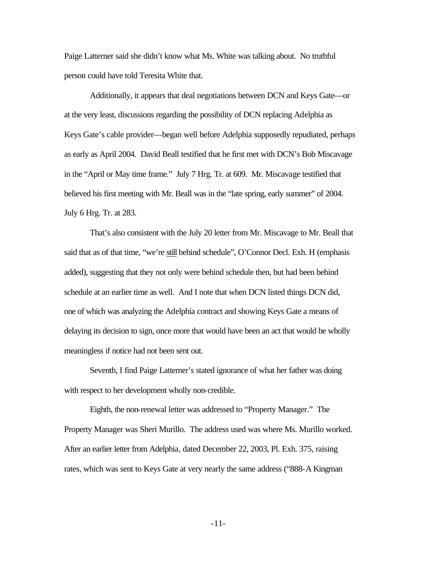Paige Latterner said she didn't know what Ms. White was talking about. No truthful person could have told Teresita White that.

Additionally, it appears that deal negotiations between DCN and Keys Gate—or at the very least, discussions regarding the possibility of DCN replacing Adelphia as Keys Gate's cable provider—began well before Adelphia supposedly repudiated, perhaps as early as April 2004. David Beall testified that he first met with DCN's Bob Miscavage in the "April or May time frame." July 7 Hrg. Tr. at 609. Mr. Miscavage testified that believed his first meeting with Mr. Beall was in the "late spring, early summer" of 2004. July 6 Hrg. Tr. at 283.

That's also consistent with the July 20 letter from Mr. Miscavage to Mr. Beall that said that as of that time, "we're still behind schedule", O'Connor Decl. Exh. H (emphasis added), suggesting that they not only were behind schedule then, but had been behind schedule at an earlier time as well. And I note that when DCN listed things DCN did, one of which was analyzing the Adelphia contract and showing Keys Gate a means of delaying its decision to sign, once more that would have been an act that would be wholly meaningless if notice had not been sent out.

Seventh, I find Paige Latterner's stated ignorance of what her father was doing with respect to her development wholly non-credible.

Eighth, the non-renewal letter was addressed to "Property Manager." The Property Manager was Sheri Murillo. The address used was where Ms. Murillo worked. After an earlier letter from Adelphia, dated December 22, 2003, Pl. Exh. 375, raising rates, which was sent to Keys Gate at very nearly the same address ("888-A Kingman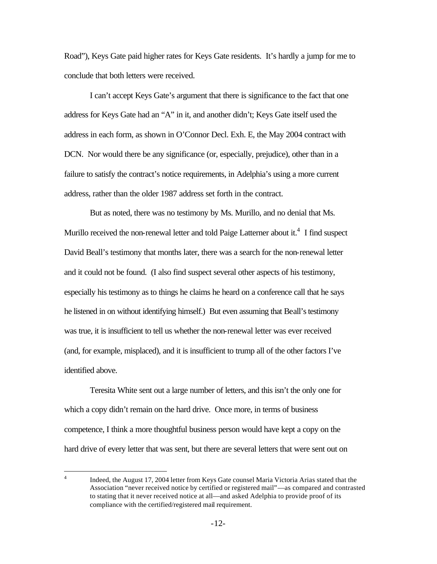Road"), Keys Gate paid higher rates for Keys Gate residents. It's hardly a jump for me to conclude that both letters were received.

I can't accept Keys Gate's argument that there is significance to the fact that one address for Keys Gate had an "A" in it, and another didn't; Keys Gate itself used the address in each form, as shown in O'Connor Decl. Exh. E, the May 2004 contract with DCN. Nor would there be any significance (or, especially, prejudice), other than in a failure to satisfy the contract's notice requirements, in Adelphia's using a more current address, rather than the older 1987 address set forth in the contract.

But as noted, there was no testimony by Ms. Murillo, and no denial that Ms. Murillo received the non-renewal letter and told Paige Latterner about it.<sup>4</sup> I find suspect David Beall's testimony that months later, there was a search for the non-renewal letter and it could not be found. (I also find suspect several other aspects of his testimony, especially his testimony as to things he claims he heard on a conference call that he says he listened in on without identifying himself.) But even assuming that Beall's testimony was true, it is insufficient to tell us whether the non-renewal letter was ever received (and, for example, misplaced), and it is insufficient to trump all of the other factors I've identified above.

Teresita White sent out a large number of letters, and this isn't the only one for which a copy didn't remain on the hard drive. Once more, in terms of business competence, I think a more thoughtful business person would have kept a copy on the hard drive of every letter that was sent, but there are several letters that were sent out on

 $\frac{1}{4}$ Indeed, the August 17, 2004 letter from Keys Gate counsel Maria Victoria Arias stated that the Association "never received notice by certified or registered mail"—as compared and contrasted to stating that it never received notice at all—and asked Adelphia to provide proof of its compliance with the certified/registered mail requirement.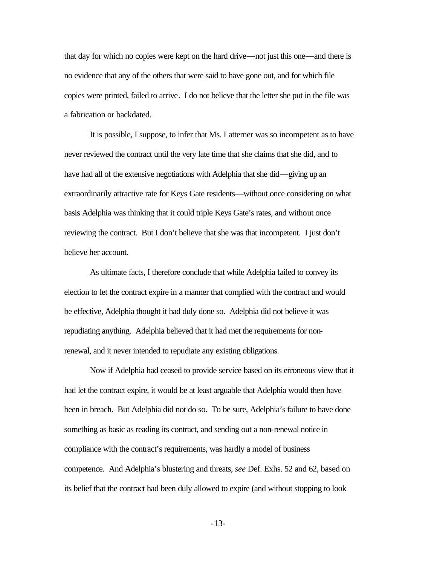that day for which no copies were kept on the hard drive—not just this one—and there is no evidence that any of the others that were said to have gone out, and for which file copies were printed, failed to arrive. I do not believe that the letter she put in the file was a fabrication or backdated.

It is possible, I suppose, to infer that Ms. Latterner was so incompetent as to have never reviewed the contract until the very late time that she claims that she did, and to have had all of the extensive negotiations with Adelphia that she did—giving up an extraordinarily attractive rate for Keys Gate residents—without once considering on what basis Adelphia was thinking that it could triple Keys Gate's rates, and without once reviewing the contract. But I don't believe that she was that incompetent. I just don't believe her account.

As ultimate facts, I therefore conclude that while Adelphia failed to convey its election to let the contract expire in a manner that complied with the contract and would be effective, Adelphia thought it had duly done so. Adelphia did not believe it was repudiating anything. Adelphia believed that it had met the requirements for nonrenewal, and it never intended to repudiate any existing obligations.

Now if Adelphia had ceased to provide service based on its erroneous view that it had let the contract expire, it would be at least arguable that Adelphia would then have been in breach. But Adelphia did not do so. To be sure, Adelphia's failure to have done something as basic as reading its contract, and sending out a non-renewal notice in compliance with the contract's requirements, was hardly a model of business competence. And Adelphia's blustering and threats, *see* Def. Exhs. 52 and 62, based on its belief that the contract had been duly allowed to expire (and without stopping to look

-13-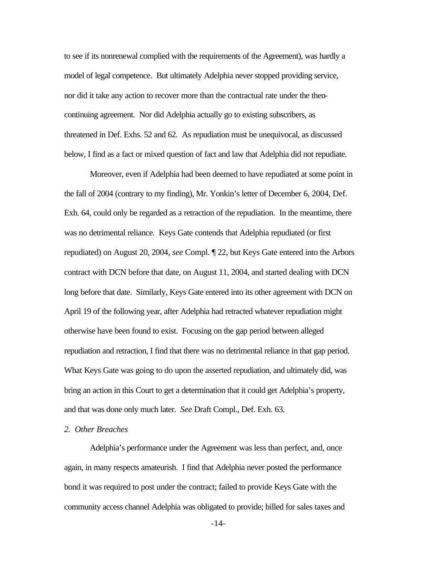to see if its nonrenewal complied with the requirements of the Agreement), was hardly a model of legal competence. But ultimately Adelphia never stopped providing service, nor did it take any action to recover more than the contractual rate under the thencontinuing agreement. Nor did Adelphia actually go to existing subscribers, as threatened in Def. Exhs. 52 and 62. As repudiation must be unequivocal, as discussed below, I find as a fact or mixed question of fact and law that Adelphia did not repudiate.

Moreover, even if Adelphia had been deemed to have repudiated at some point in the fall of 2004 (contrary to my finding), Mr. Yonkin's letter of December 6, 2004, Def. Exh. 64, could only be regarded as a retraction of the repudiation. In the meantime, there was no detrimental reliance. Keys Gate contends that Adelphia repudiated (or first repudiated) on August 20, 2004, *see* Compl. ¶ 22, but Keys Gate entered into the Arbors contract with DCN before that date, on August 11, 2004, and started dealing with DCN long before that date. Similarly, Keys Gate entered into its other agreement with DCN on April 19 of the following year, after Adelphia had retracted whatever repudiation might otherwise have been found to exist. Focusing on the gap period between alleged repudiation and retraction, I find that there was no detrimental reliance in that gap period. What Keys Gate was going to do upon the asserted repudiation, and ultimately did, was bring an action in this Court to get a determination that it could get Adelphia's property, and that was done only much later. *See* Draft Compl., Def. Exh. 63.

### *2. Other Breaches*

Adelphia's performance under the Agreement was less than perfect, and, once again, in many respects amateurish. I find that Adelphia never posted the performance bond it was required to post under the contract; failed to provide Keys Gate with the community access channel Adelphia was obligated to provide; billed for sales taxes and

-14-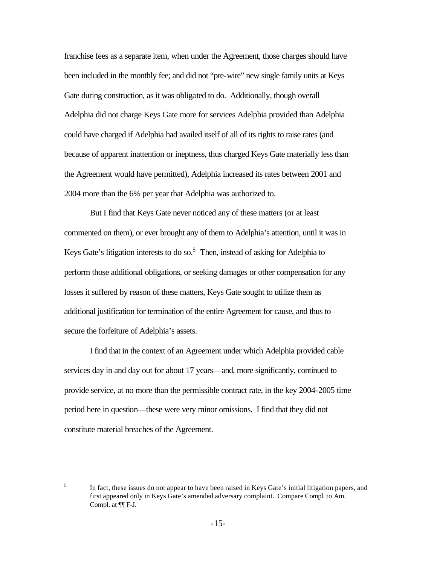franchise fees as a separate item, when under the Agreement, those charges should have been included in the monthly fee; and did not "pre-wire" new single family units at Keys Gate during construction, as it was obligated to do. Additionally, though overall Adelphia did not charge Keys Gate more for services Adelphia provided than Adelphia could have charged if Adelphia had availed itself of all of its rights to raise rates (and because of apparent inattention or ineptness, thus charged Keys Gate materially less than the Agreement would have permitted), Adelphia increased its rates between 2001 and 2004 more than the 6% per year that Adelphia was authorized to.

But I find that Keys Gate never noticed any of these matters (or at least commented on them), or ever brought any of them to Adelphia's attention, until it was in Keys Gate's litigation interests to do so.<sup>5</sup> Then, instead of asking for Adelphia to perform those additional obligations, or seeking damages or other compensation for any losses it suffered by reason of these matters, Keys Gate sought to utilize them as additional justification for termination of the entire Agreement for cause, and thus to secure the forfeiture of Adelphia's assets.

I find that in the context of an Agreement under which Adelphia provided cable services day in and day out for about 17 years—and, more significantly, continued to provide service, at no more than the permissible contract rate, in the key 2004-2005 time period here in question—these were very minor omissions. I find that they did not constitute material breaches of the Agreement.

5

In fact, these issues do not appear to have been raised in Keys Gate's initial litigation papers, and first appeared only in Keys Gate's amended adversary complaint. Compare Compl. to Am. Compl. at ¶¶ F-J.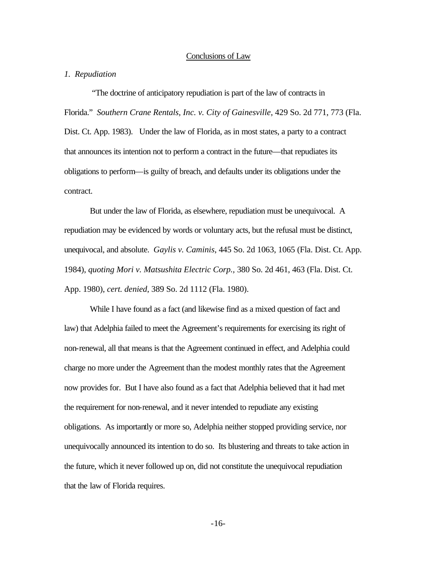#### Conclusions of Law

### *1. Repudiation*

 "The doctrine of anticipatory repudiation is part of the law of contracts in Florida." *Southern Crane Rentals, Inc. v. City of Gainesville*, 429 So. 2d 771, 773 (Fla. Dist. Ct. App. 1983). Under the law of Florida, as in most states, a party to a contract that announces its intention not to perform a contract in the future—that repudiates its obligations to perform—is guilty of breach, and defaults under its obligations under the contract.

But under the law of Florida, as elsewhere, repudiation must be unequivocal. A repudiation may be evidenced by words or voluntary acts, but the refusal must be distinct, unequivocal, and absolute. *Gaylis v. Caminis*, 445 So. 2d 1063, 1065 (Fla. Dist. Ct. App. 1984), *quoting Mori v. Matsushita Electric Corp.,* 380 So. 2d 461, 463 (Fla. Dist. Ct. App. 1980), *cert. denied*, 389 So. 2d 1112 (Fla. 1980).

While I have found as a fact (and likewise find as a mixed question of fact and law) that Adelphia failed to meet the Agreement's requirements for exercising its right of non-renewal, all that means is that the Agreement continued in effect, and Adelphia could charge no more under the Agreement than the modest monthly rates that the Agreement now provides for. But I have also found as a fact that Adelphia believed that it had met the requirement for non-renewal, and it never intended to repudiate any existing obligations. As importantly or more so, Adelphia neither stopped providing service, nor unequivocally announced its intention to do so. Its blustering and threats to take action in the future, which it never followed up on, did not constitute the unequivocal repudiation that the law of Florida requires.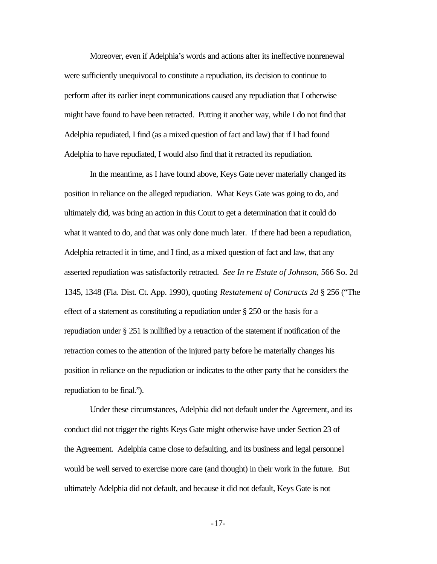Moreover, even if Adelphia's words and actions after its ineffective nonrenewal were sufficiently unequivocal to constitute a repudiation, its decision to continue to perform after its earlier inept communications caused any repudiation that I otherwise might have found to have been retracted. Putting it another way, while I do not find that Adelphia repudiated, I find (as a mixed question of fact and law) that if I had found Adelphia to have repudiated, I would also find that it retracted its repudiation.

In the meantime, as I have found above, Keys Gate never materially changed its position in reliance on the alleged repudiation. What Keys Gate was going to do, and ultimately did, was bring an action in this Court to get a determination that it could do what it wanted to do, and that was only done much later. If there had been a repudiation, Adelphia retracted it in time, and I find, as a mixed question of fact and law, that any asserted repudiation was satisfactorily retracted. *See In re Estate of Johnson*, 566 So. 2d 1345, 1348 (Fla. Dist. Ct. App. 1990), quoting *Restatement of Contracts 2d* § 256 ("The effect of a statement as constituting a repudiation under § 250 or the basis for a repudiation under § 251 is nullified by a retraction of the statement if notification of the retraction comes to the attention of the injured party before he materially changes his position in reliance on the repudiation or indicates to the other party that he considers the repudiation to be final.").

Under these circumstances, Adelphia did not default under the Agreement, and its conduct did not trigger the rights Keys Gate might otherwise have under Section 23 of the Agreement. Adelphia came close to defaulting, and its business and legal personnel would be well served to exercise more care (and thought) in their work in the future. But ultimately Adelphia did not default, and because it did not default, Keys Gate is not

-17-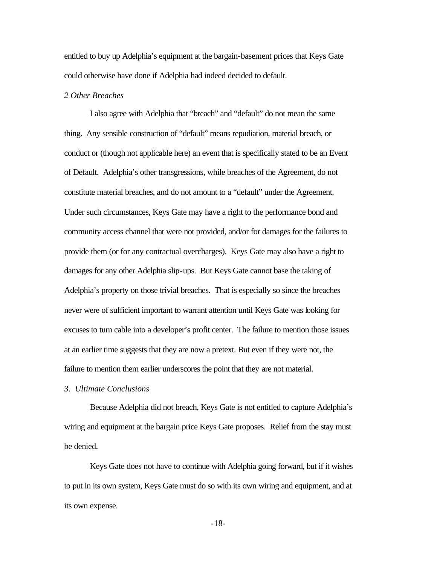entitled to buy up Adelphia's equipment at the bargain-basement prices that Keys Gate could otherwise have done if Adelphia had indeed decided to default.

## *2 Other Breaches*

I also agree with Adelphia that "breach" and "default" do not mean the same thing. Any sensible construction of "default" means repudiation, material breach, or conduct or (though not applicable here) an event that is specifically stated to be an Event of Default. Adelphia's other transgressions, while breaches of the Agreement, do not constitute material breaches, and do not amount to a "default" under the Agreement. Under such circumstances, Keys Gate may have a right to the performance bond and community access channel that were not provided, and/or for damages for the failures to provide them (or for any contractual overcharges). Keys Gate may also have a right to damages for any other Adelphia slip-ups. But Keys Gate cannot base the taking of Adelphia's property on those trivial breaches. That is especially so since the breaches never were of sufficient important to warrant attention until Keys Gate was looking for excuses to turn cable into a developer's profit center. The failure to mention those issues at an earlier time suggests that they are now a pretext. But even if they were not, the failure to mention them earlier underscores the point that they are not material.

*3. Ultimate Conclusions*

Because Adelphia did not breach, Keys Gate is not entitled to capture Adelphia's wiring and equipment at the bargain price Keys Gate proposes. Relief from the stay must be denied.

Keys Gate does not have to continue with Adelphia going forward, but if it wishes to put in its own system, Keys Gate must do so with its own wiring and equipment, and at its own expense.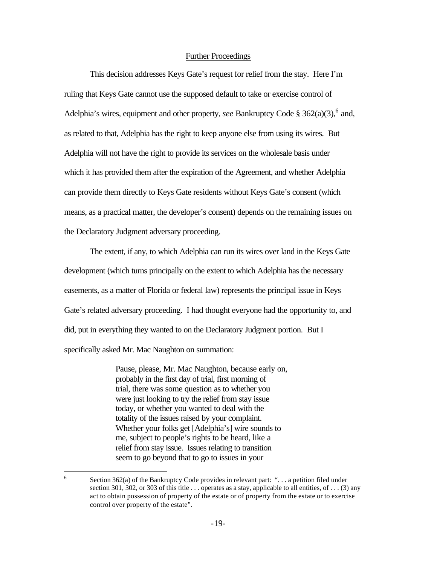### Further Proceedings

This decision addresses Keys Gate's request for relief from the stay. Here I'm ruling that Keys Gate cannot use the supposed default to take or exercise control of Adelphia's wires, equipment and other property, *see* Bankruptcy Code  $\S 362(a)(3)$ , <sup>6</sup> and, as related to that, Adelphia has the right to keep anyone else from using its wires. But Adelphia will not have the right to provide its services on the wholesale basis under which it has provided them after the expiration of the Agreement, and whether Adelphia can provide them directly to Keys Gate residents without Keys Gate's consent (which means, as a practical matter, the developer's consent) depends on the remaining issues on the Declaratory Judgment adversary proceeding.

The extent, if any, to which Adelphia can run its wires over land in the Keys Gate development (which turns principally on the extent to which Adelphia has the necessary easements, as a matter of Florida or federal law) represents the principal issue in Keys Gate's related adversary proceeding. I had thought everyone had the opportunity to, and did, put in everything they wanted to on the Declaratory Judgment portion. But I specifically asked Mr. Mac Naughton on summation:

> Pause, please, Mr. Mac Naughton, because early on, probably in the first day of trial, first morning of trial, there was some question as to whether you were just looking to try the relief from stay issue today, or whether you wanted to deal with the totality of the issues raised by your complaint. Whether your folks get [Adelphia's] wire sounds to me, subject to people's rights to be heard, like a relief from stay issue. Issues relating to transition seem to go beyond that to go to issues in your

 6 Section 362(a) of the Bankruptcy Code provides in relevant part: "... a petition filed under section 301, 302, or 303 of this title . . . operates as a stay, applicable to all entities, of . . . (3) any act to obtain possession of property of the estate or of property from the estate or to exercise control over property of the estate".